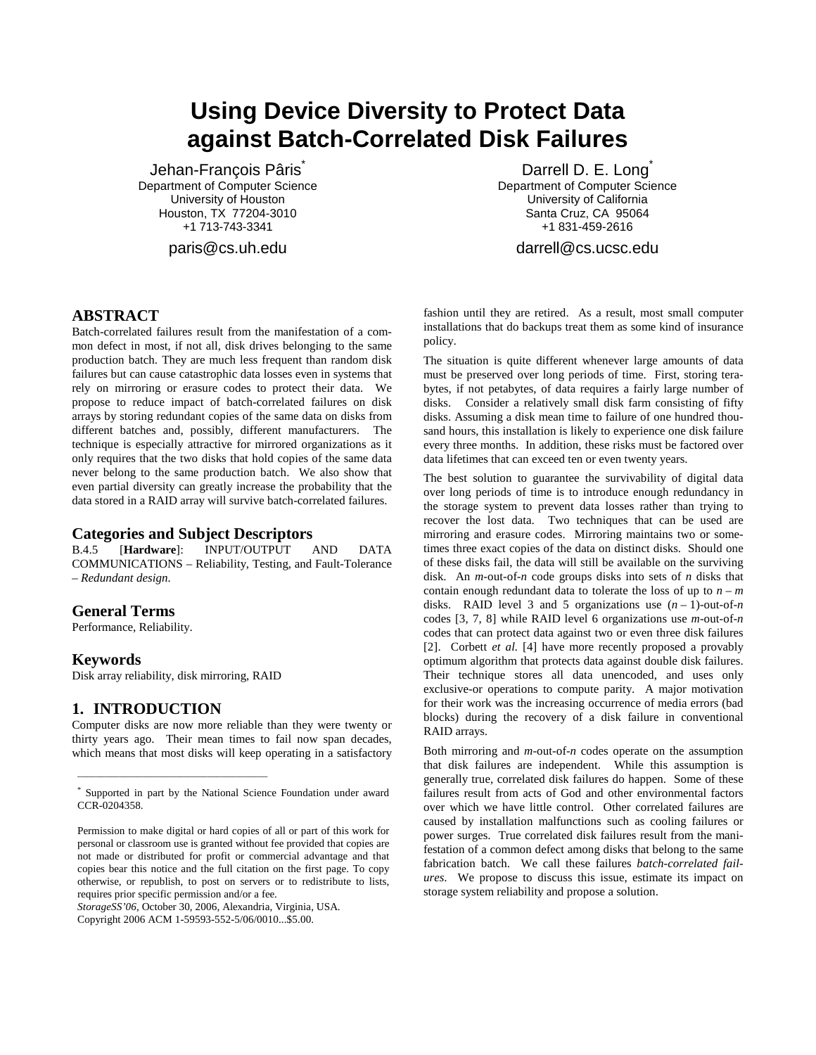# **Using Device Diversity to Protect Data against Batch-Correlated Disk Failures**

Jehan-François Pâris<sup>®</sup> Department of Computer Science University of Houston Houston, TX 77204-3010 +1 713-743-3341

paris@cs.uh.edu

Darrell D. E. Long\* Department of Computer Science University of California Santa Cruz, CA 95064 +1 831-459-2616

darrell@cs.ucsc.edu

## **ABSTRACT**

Batch-correlated failures result from the manifestation of a common defect in most, if not all, disk drives belonging to the same production batch. They are much less frequent than random disk failures but can cause catastrophic data losses even in systems that rely on mirroring or erasure codes to protect their data. We propose to reduce impact of batch-correlated failures on disk arrays by storing redundant copies of the same data on disks from different batches and, possibly, different manufacturers. The technique is especially attractive for mirrored organizations as it only requires that the two disks that hold copies of the same data never belong to the same production batch. We also show that even partial diversity can greatly increase the probability that the data stored in a RAID array will survive batch-correlated failures.

#### **Categories and Subject Descriptors**

B.4.5 [**Hardware**]: INPUT/OUTPUT AND DATA COMMUNICATIONS – Reliability, Testing, and Fault-Tolerance – *Redundant design.* 

## **General Terms**

Performance, Reliability.

## **Keywords**

Disk array reliability, disk mirroring, RAID

\_\_\_\_\_\_\_\_\_\_\_\_\_\_\_\_\_\_\_\_\_\_\_\_\_\_\_\_\_\_\_\_\_\_\_\_\_\_\_\_\_

## **1. INTRODUCTION**

Computer disks are now more reliable than they were twenty or thirty years ago. Their mean times to fail now span decades, which means that most disks will keep operating in a satisfactory

*StorageSS'06*, October 30, 2006, Alexandria, Virginia, USA.

Copyright 2006 ACM 1-59593-552-5/06/0010...\$5.00.

fashion until they are retired. As a result, most small computer installations that do backups treat them as some kind of insurance policy.

The situation is quite different whenever large amounts of data must be preserved over long periods of time. First, storing terabytes, if not petabytes, of data requires a fairly large number of disks. Consider a relatively small disk farm consisting of fifty disks. Assuming a disk mean time to failure of one hundred thousand hours, this installation is likely to experience one disk failure every three months. In addition, these risks must be factored over data lifetimes that can exceed ten or even twenty years.

The best solution to guarantee the survivability of digital data over long periods of time is to introduce enough redundancy in the storage system to prevent data losses rather than trying to recover the lost data. Two techniques that can be used are mirroring and erasure codes. Mirroring maintains two or sometimes three exact copies of the data on distinct disks. Should one of these disks fail, the data will still be available on the surviving disk. An *m*-out-of-*n* code groups disks into sets of *n* disks that contain enough redundant data to tolerate the loss of up to  $n - m$ disks. RAID level 3 and 5 organizations use  $(n-1)$ -out-of-*n* codes [3, 7, 8] while RAID level 6 organizations use *m*-out-of-*n* codes that can protect data against two or even three disk failures [2]. Corbett *et al.* [4] have more recently proposed a provably optimum algorithm that protects data against double disk failures. Their technique stores all data unencoded, and uses only exclusive-or operations to compute parity. A major motivation for their work was the increasing occurrence of media errors (bad blocks) during the recovery of a disk failure in conventional RAID arrays.

Both mirroring and *m*-out-of-*n* codes operate on the assumption that disk failures are independent. While this assumption is generally true, correlated disk failures do happen. Some of these failures result from acts of God and other environmental factors over which we have little control. Other correlated failures are caused by installation malfunctions such as cooling failures or power surges. True correlated disk failures result from the manifestation of a common defect among disks that belong to the same fabrication batch. We call these failures *batch-correlated failures*. We propose to discuss this issue, estimate its impact on storage system reliability and propose a solution.

<sup>\*</sup> Supported in part by the National Science Foundation under award CCR-0204358.

Permission to make digital or hard copies of all or part of this work for personal or classroom use is granted without fee provided that copies are not made or distributed for profit or commercial advantage and that copies bear this notice and the full citation on the first page. To copy otherwise, or republish, to post on servers or to redistribute to lists, requires prior specific permission and/or a fee.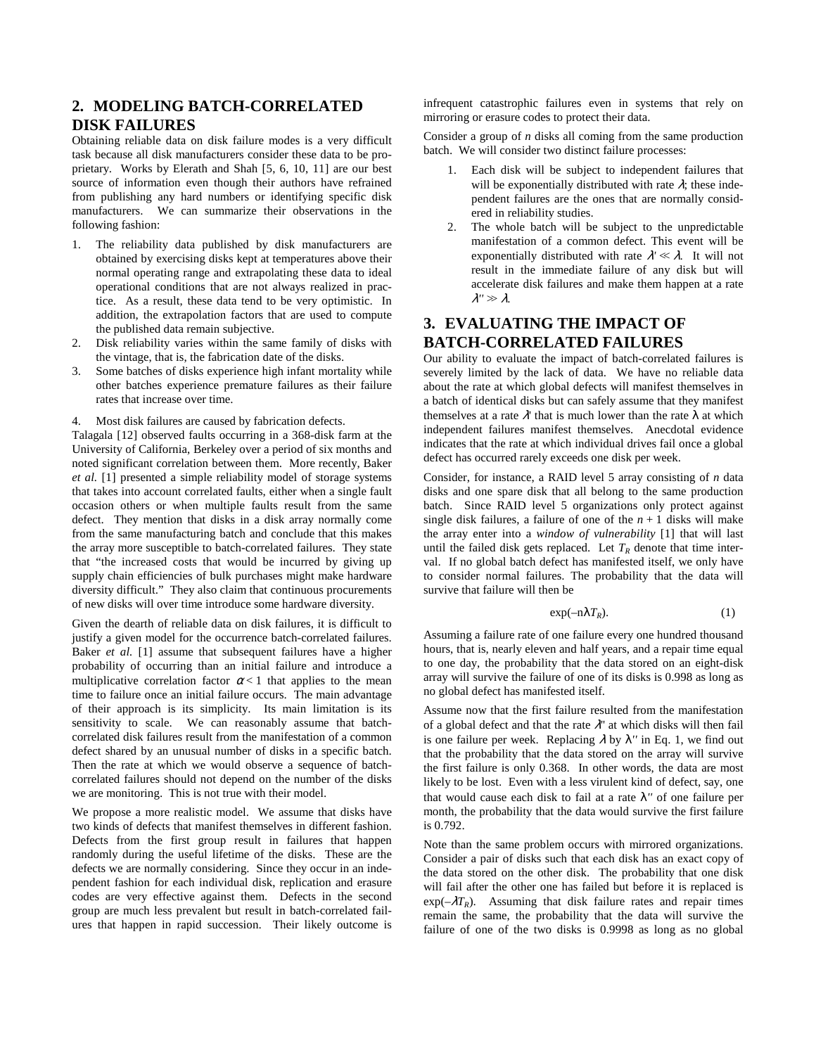## **2. MODELING BATCH-CORRELATED DISK FAILURES**

Obtaining reliable data on disk failure modes is a very difficult task because all disk manufacturers consider these data to be proprietary. Works by Elerath and Shah [5, 6, 10, 11] are our best source of information even though their authors have refrained from publishing any hard numbers or identifying specific disk manufacturers. We can summarize their observations in the following fashion:

- 1. The reliability data published by disk manufacturers are obtained by exercising disks kept at temperatures above their normal operating range and extrapolating these data to ideal operational conditions that are not always realized in practice. As a result, these data tend to be very optimistic. In addition, the extrapolation factors that are used to compute the published data remain subjective.
- 2. Disk reliability varies within the same family of disks with the vintage, that is, the fabrication date of the disks.
- 3. Some batches of disks experience high infant mortality while other batches experience premature failures as their failure rates that increase over time.
- 4. Most disk failures are caused by fabrication defects.

Talagala [12] observed faults occurring in a 368-disk farm at the University of California, Berkeley over a period of six months and noted significant correlation between them. More recently, Baker *et al.* [1] presented a simple reliability model of storage systems that takes into account correlated faults, either when a single fault occasion others or when multiple faults result from the same defect. They mention that disks in a disk array normally come from the same manufacturing batch and conclude that this makes the array more susceptible to batch-correlated failures. They state that "the increased costs that would be incurred by giving up supply chain efficiencies of bulk purchases might make hardware diversity difficult." They also claim that continuous procurements of new disks will over time introduce some hardware diversity.

Given the dearth of reliable data on disk failures, it is difficult to justify a given model for the occurrence batch-correlated failures. Baker *et al.* [1] assume that subsequent failures have a higher probability of occurring than an initial failure and introduce a multiplicative correlation factor  $\alpha < 1$  that applies to the mean time to failure once an initial failure occurs. The main advantage of their approach is its simplicity. Its main limitation is its sensitivity to scale. We can reasonably assume that batchcorrelated disk failures result from the manifestation of a common defect shared by an unusual number of disks in a specific batch. Then the rate at which we would observe a sequence of batchcorrelated failures should not depend on the number of the disks we are monitoring. This is not true with their model.

We propose a more realistic model. We assume that disks have two kinds of defects that manifest themselves in different fashion. Defects from the first group result in failures that happen randomly during the useful lifetime of the disks. These are the defects we are normally considering. Since they occur in an independent fashion for each individual disk, replication and erasure codes are very effective against them. Defects in the second group are much less prevalent but result in batch-correlated failures that happen in rapid succession. Their likely outcome is

infrequent catastrophic failures even in systems that rely on mirroring or erasure codes to protect their data.

Consider a group of *n* disks all coming from the same production batch. We will consider two distinct failure processes:

- 1. Each disk will be subject to independent failures that will be exponentially distributed with rate  $\lambda$ ; these independent failures are the ones that are normally considered in reliability studies.
- 2. The whole batch will be subject to the unpredictable manifestation of a common defect. This event will be exponentially distributed with rate  $\lambda' \ll \lambda$ . It will not result in the immediate failure of any disk but will accelerate disk failures and make them happen at a rate  $\lambda^{\prime\prime} \gg \lambda$ .

## **3. EVALUATING THE IMPACT OF BATCH-CORRELATED FAILURES**

Our ability to evaluate the impact of batch-correlated failures is severely limited by the lack of data. We have no reliable data about the rate at which global defects will manifest themselves in a batch of identical disks but can safely assume that they manifest themselves at a rate  $\lambda$ ' that is much lower than the rate  $\lambda$  at which independent failures manifest themselves. Anecdotal evidence indicates that the rate at which individual drives fail once a global defect has occurred rarely exceeds one disk per week.

Consider, for instance, a RAID level 5 array consisting of *n* data disks and one spare disk that all belong to the same production batch. Since RAID level 5 organizations only protect against single disk failures, a failure of one of the  $n + 1$  disks will make the array enter into a *window of vulnerability* [1] that will last until the failed disk gets replaced. Let  $T_R$  denote that time interval. If no global batch defect has manifested itself, we only have to consider normal failures. The probability that the data will survive that failure will then be

$$
\exp(-n\lambda T_R). \tag{1}
$$

Assuming a failure rate of one failure every one hundred thousand hours, that is, nearly eleven and half years, and a repair time equal to one day, the probability that the data stored on an eight-disk array will survive the failure of one of its disks is 0.998 as long as no global defect has manifested itself.

Assume now that the first failure resulted from the manifestation of a global defect and that the rate  $\lambda$ " at which disks will then fail is one failure per week. Replacing  $\lambda$  by  $\lambda$ " in Eq. 1, we find out that the probability that the data stored on the array will survive the first failure is only 0.368. In other words, the data are most likely to be lost. Even with a less virulent kind of defect, say, one that would cause each disk to fail at a rate λ*''* of one failure per month, the probability that the data would survive the first failure is 0.792.

Note than the same problem occurs with mirrored organizations. Consider a pair of disks such that each disk has an exact copy of the data stored on the other disk. The probability that one disk will fail after the other one has failed but before it is replaced is  $exp(-\lambda T_R)$ . Assuming that disk failure rates and repair times remain the same, the probability that the data will survive the failure of one of the two disks is 0.9998 as long as no global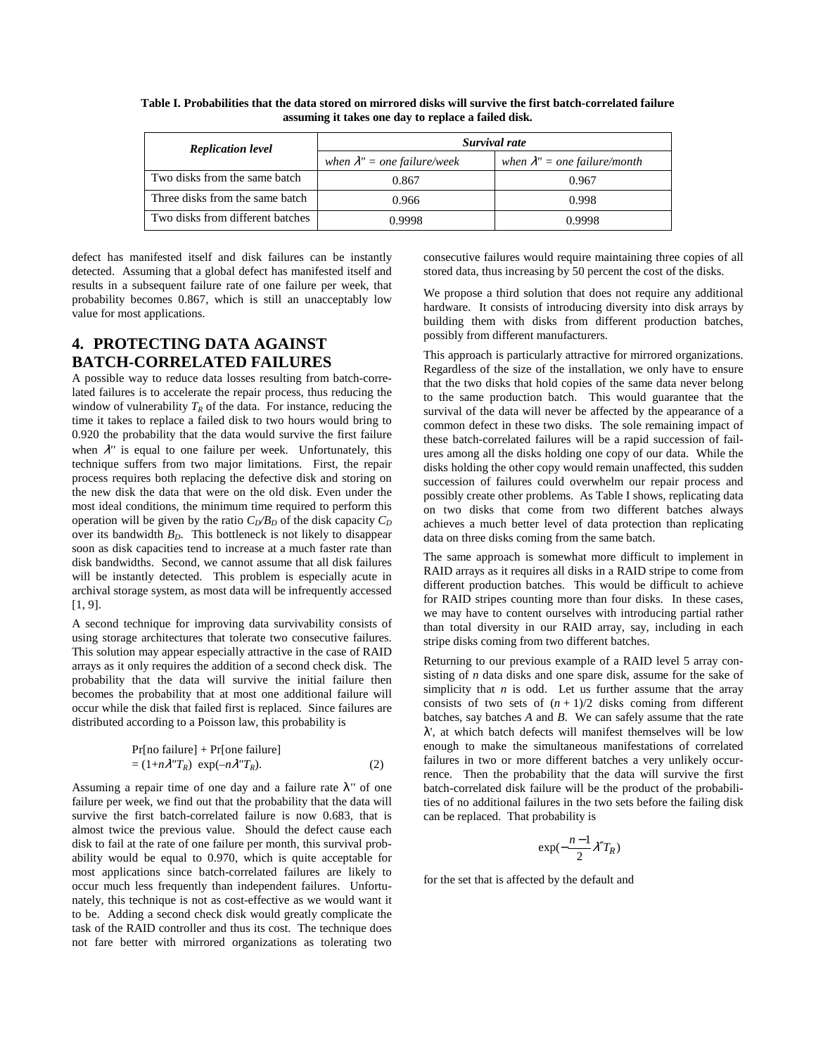| <b>Replication level</b>         | Survival rate                       |                                      |
|----------------------------------|-------------------------------------|--------------------------------------|
|                                  | when $\lambda'' =$ one failure/week | when $\lambda'' =$ one failure/month |
| Two disks from the same batch    | 0.867                               | 0.967                                |
| Three disks from the same batch  | 0.966                               | 0.998                                |
| Two disks from different batches | 0.9998                              | 0.9998                               |

**Table I. Probabilities that the data stored on mirrored disks will survive the first batch-correlated failure assuming it takes one day to replace a failed disk.**

defect has manifested itself and disk failures can be instantly detected. Assuming that a global defect has manifested itself and results in a subsequent failure rate of one failure per week, that probability becomes 0.867, which is still an unacceptably low value for most applications.

## **4. PROTECTING DATA AGAINST BATCH-CORRELATED FAILURES**

A possible way to reduce data losses resulting from batch-correlated failures is to accelerate the repair process, thus reducing the window of vulnerability  $T_R$  of the data. For instance, reducing the time it takes to replace a failed disk to two hours would bring to 0.920 the probability that the data would survive the first failure when  $\lambda$ <sup>"</sup> is equal to one failure per week. Unfortunately, this technique suffers from two major limitations. First, the repair process requires both replacing the defective disk and storing on the new disk the data that were on the old disk. Even under the most ideal conditions, the minimum time required to perform this operation will be given by the ratio  $C_p/B_p$  of the disk capacity  $C_p$ over its bandwidth  $B<sub>D</sub>$ . This bottleneck is not likely to disappear soon as disk capacities tend to increase at a much faster rate than disk bandwidths. Second, we cannot assume that all disk failures will be instantly detected. This problem is especially acute in archival storage system, as most data will be infrequently accessed  $[1, 9]$ .

A second technique for improving data survivability consists of using storage architectures that tolerate two consecutive failures. This solution may appear especially attractive in the case of RAID arrays as it only requires the addition of a second check disk. The probability that the data will survive the initial failure then becomes the probability that at most one additional failure will occur while the disk that failed first is replaced. Since failures are distributed according to a Poisson law, this probability is

Pr[no failure] + Pr[one failure]  
= 
$$
(1+n\lambda''T_R)
$$
 exp $(-n\lambda''T_R)$ . (2)

Assuming a repair time of one day and a failure rate  $\lambda''$  of one failure per week, we find out that the probability that the data will survive the first batch-correlated failure is now 0.683, that is almost twice the previous value. Should the defect cause each disk to fail at the rate of one failure per month, this survival probability would be equal to 0.970, which is quite acceptable for most applications since batch-correlated failures are likely to occur much less frequently than independent failures. Unfortunately, this technique is not as cost-effective as we would want it to be. Adding a second check disk would greatly complicate the task of the RAID controller and thus its cost. The technique does not fare better with mirrored organizations as tolerating two

consecutive failures would require maintaining three copies of all stored data, thus increasing by 50 percent the cost of the disks.

We propose a third solution that does not require any additional hardware. It consists of introducing diversity into disk arrays by building them with disks from different production batches, possibly from different manufacturers.

This approach is particularly attractive for mirrored organizations. Regardless of the size of the installation, we only have to ensure that the two disks that hold copies of the same data never belong to the same production batch. This would guarantee that the survival of the data will never be affected by the appearance of a common defect in these two disks. The sole remaining impact of these batch-correlated failures will be a rapid succession of failures among all the disks holding one copy of our data. While the disks holding the other copy would remain unaffected, this sudden succession of failures could overwhelm our repair process and possibly create other problems. As Table I shows, replicating data on two disks that come from two different batches always achieves a much better level of data protection than replicating data on three disks coming from the same batch.

The same approach is somewhat more difficult to implement in RAID arrays as it requires all disks in a RAID stripe to come from different production batches. This would be difficult to achieve for RAID stripes counting more than four disks. In these cases, we may have to content ourselves with introducing partial rather than total diversity in our RAID array, say, including in each stripe disks coming from two different batches.

Returning to our previous example of a RAID level 5 array consisting of *n* data disks and one spare disk, assume for the sake of simplicity that  $n$  is odd. Let us further assume that the array consists of two sets of  $(n + 1)/2$  disks coming from different batches, say batches *A* and *B*. We can safely assume that the rate  $\lambda$ ', at which batch defects will manifest themselves will be low enough to make the simultaneous manifestations of correlated failures in two or more different batches a very unlikely occurrence. Then the probability that the data will survive the first batch-correlated disk failure will be the product of the probabilities of no additional failures in the two sets before the failing disk can be replaced. That probability is

$$
\exp(-\frac{n-1}{2}\lambda''T_R)
$$

for the set that is affected by the default and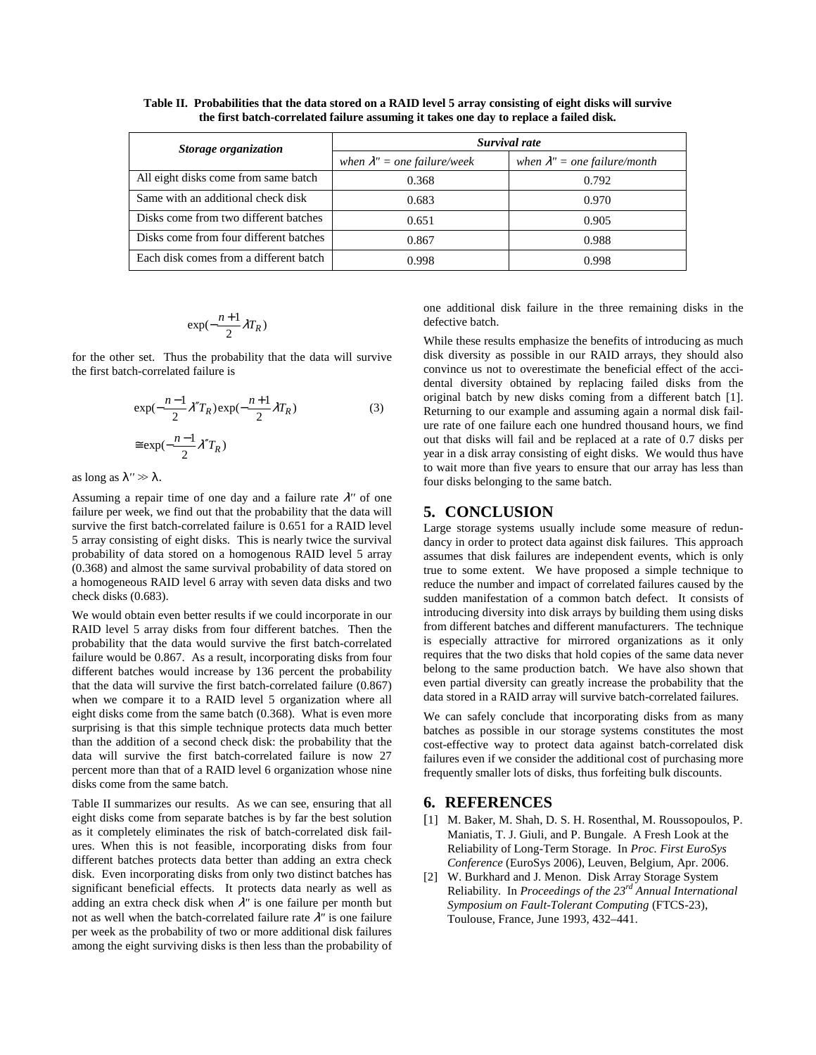| Storage organization                   | Survival rate                       |                                      |
|----------------------------------------|-------------------------------------|--------------------------------------|
|                                        | when $\lambda'' =$ one failure/week | when $\lambda'' =$ one failure/month |
| All eight disks come from same batch   | 0.368                               | 0.792                                |
| Same with an additional check disk     | 0.683                               | 0.970                                |
| Disks come from two different batches  | 0.651                               | 0.905                                |
| Disks come from four different batches | 0.867                               | 0.988                                |
| Each disk comes from a different batch | 0.998                               | 0.998                                |

**Table II. Probabilities that the data stored on a RAID level 5 array consisting of eight disks will survive the first batch-correlated failure assuming it takes one day to replace a failed disk.** 

$$
\exp(-\frac{n+1}{2}\lambda T_R)
$$

for the other set. Thus the probability that the data will survive the first batch-correlated failure is

$$
\exp(-\frac{n-1}{2}\lambda''T_R)\exp(-\frac{n+1}{2}\lambda T_R)
$$
\n
$$
\approx \exp(-\frac{n-1}{2}\lambda''T_R)
$$
\n(3)

as long as  $\lambda'' \gg \lambda$ .

Assuming a repair time of one day and a failure rate λ*''* of one failure per week, we find out that the probability that the data will survive the first batch-correlated failure is 0.651 for a RAID level 5 array consisting of eight disks. This is nearly twice the survival probability of data stored on a homogenous RAID level 5 array (0.368) and almost the same survival probability of data stored on a homogeneous RAID level 6 array with seven data disks and two check disks (0.683).

We would obtain even better results if we could incorporate in our RAID level 5 array disks from four different batches. Then the probability that the data would survive the first batch-correlated failure would be 0.867. As a result, incorporating disks from four different batches would increase by 136 percent the probability that the data will survive the first batch-correlated failure (0.867) when we compare it to a RAID level 5 organization where all eight disks come from the same batch (0.368). What is even more surprising is that this simple technique protects data much better than the addition of a second check disk: the probability that the data will survive the first batch-correlated failure is now 27 percent more than that of a RAID level 6 organization whose nine disks come from the same batch.

Table II summarizes our results. As we can see, ensuring that all eight disks come from separate batches is by far the best solution as it completely eliminates the risk of batch-correlated disk failures. When this is not feasible, incorporating disks from four different batches protects data better than adding an extra check disk. Even incorporating disks from only two distinct batches has significant beneficial effects. It protects data nearly as well as adding an extra check disk when  $\lambda$ <sup>"</sup> is one failure per month but not as well when the batch-correlated failure rate λ*"* is one failure per week as the probability of two or more additional disk failures among the eight surviving disks is then less than the probability of one additional disk failure in the three remaining disks in the defective batch.

#### While these results emphasize the benefits of introducing as much disk diversity as possible in our RAID arrays, they should also convince us not to overestimate the beneficial effect of the accidental diversity obtained by replacing failed disks from the original batch by new disks coming from a different batch [1]. Returning to our example and assuming again a normal disk failure rate of one failure each one hundred thousand hours, we find out that disks will fail and be replaced at a rate of 0.7 disks per year in a disk array consisting of eight disks. We would thus have to wait more than five years to ensure that our array has less than four disks belonging to the same batch.

## **5. CONCLUSION**

Large storage systems usually include some measure of redundancy in order to protect data against disk failures. This approach assumes that disk failures are independent events, which is only true to some extent. We have proposed a simple technique to reduce the number and impact of correlated failures caused by the sudden manifestation of a common batch defect. It consists of introducing diversity into disk arrays by building them using disks from different batches and different manufacturers. The technique is especially attractive for mirrored organizations as it only requires that the two disks that hold copies of the same data never belong to the same production batch. We have also shown that even partial diversity can greatly increase the probability that the data stored in a RAID array will survive batch-correlated failures.

We can safely conclude that incorporating disks from as many batches as possible in our storage systems constitutes the most cost-effective way to protect data against batch-correlated disk failures even if we consider the additional cost of purchasing more frequently smaller lots of disks, thus forfeiting bulk discounts.

## **6. REFERENCES**

- [1] M. Baker, M. Shah, D. S. H. Rosenthal, M. Roussopoulos, P. Maniatis, T. J. Giuli, and P. Bungale. A Fresh Look at the Reliability of Long-Term Storage. In *Proc. First EuroSys Conference* (EuroSys 2006), Leuven, Belgium, Apr. 2006.
- [2] W. Burkhard and J. Menon. Disk Array Storage System Reliability. In *Proceedings of the 23rd Annual International Symposium on Fault-Tolerant Computing* (FTCS-23), Toulouse, France, June 1993, 432–441.